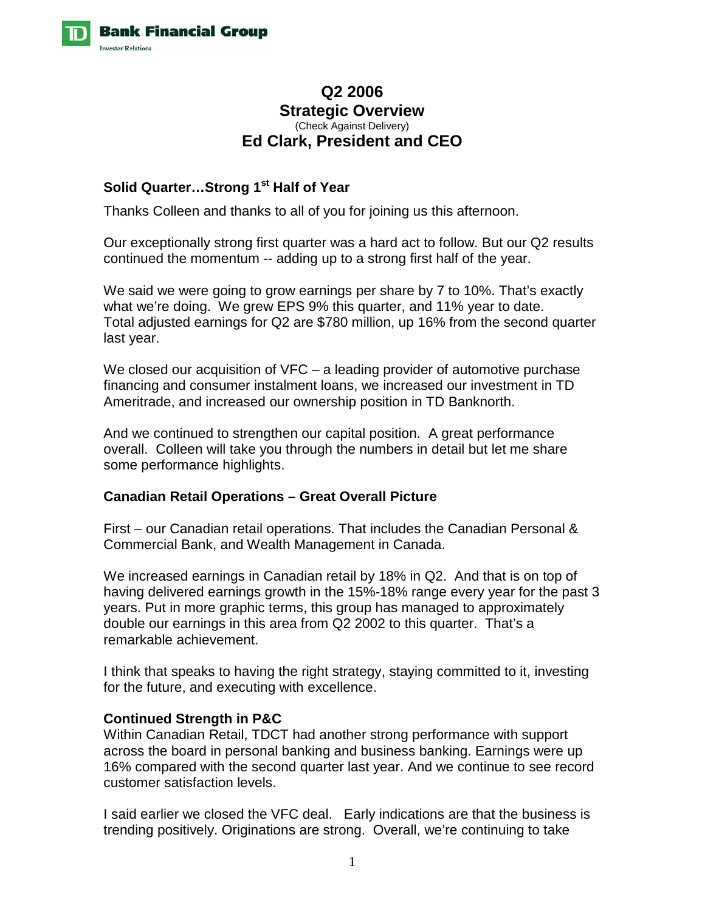

# **Q2 2006 Strategic Overview**  (Check Against Delivery) **Ed Clark, President and CEO**

## **Solid Quarter…Strong 1st Half of Year**

Thanks Colleen and thanks to all of you for joining us this afternoon.

Our exceptionally strong first quarter was a hard act to follow. But our Q2 results continued the momentum -- adding up to a strong first half of the year.

We said we were going to grow earnings per share by 7 to 10%. That's exactly what we're doing. We grew EPS 9% this quarter, and 11% year to date. Total adjusted earnings for Q2 are \$780 million, up 16% from the second quarter last year.

We closed our acquisition of VFC – a leading provider of automotive purchase financing and consumer instalment loans, we increased our investment in TD Ameritrade, and increased our ownership position in TD Banknorth.

And we continued to strengthen our capital position. A great performance overall. Colleen will take you through the numbers in detail but let me share some performance highlights.

## **Canadian Retail Operations – Great Overall Picture**

First – our Canadian retail operations. That includes the Canadian Personal & Commercial Bank, and Wealth Management in Canada.

We increased earnings in Canadian retail by 18% in Q2. And that is on top of having delivered earnings growth in the 15%-18% range every year for the past 3 years. Put in more graphic terms, this group has managed to approximately double our earnings in this area from Q2 2002 to this quarter. That's a remarkable achievement.

I think that speaks to having the right strategy, staying committed to it, investing for the future, and executing with excellence.

## **Continued Strength in P&C**

Within Canadian Retail, TDCT had another strong performance with support across the board in personal banking and business banking. Earnings were up 16% compared with the second quarter last year. And we continue to see record customer satisfaction levels.

I said earlier we closed the VFC deal. Early indications are that the business is trending positively. Originations are strong. Overall, we're continuing to take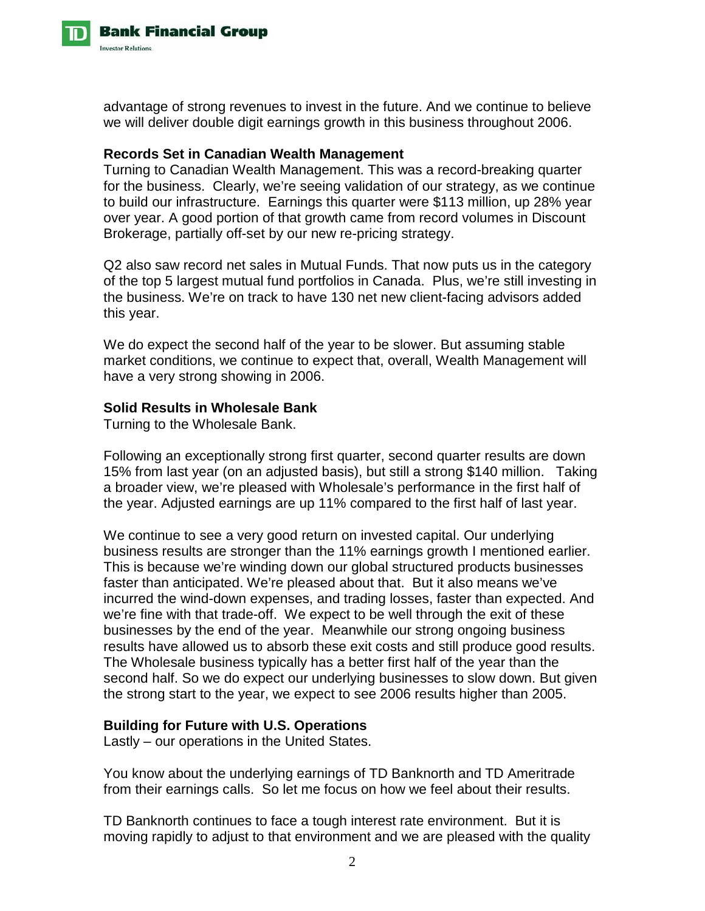

advantage of strong revenues to invest in the future. And we continue to believe we will deliver double digit earnings growth in this business throughout 2006.

### **Records Set in Canadian Wealth Management**

Turning to Canadian Wealth Management. This was a record-breaking quarter for the business. Clearly, we're seeing validation of our strategy, as we continue to build our infrastructure. Earnings this quarter were \$113 million, up 28% year over year. A good portion of that growth came from record volumes in Discount Brokerage, partially off-set by our new re-pricing strategy.

Q2 also saw record net sales in Mutual Funds. That now puts us in the category of the top 5 largest mutual fund portfolios in Canada. Plus, we're still investing in the business. We're on track to have 130 net new client-facing advisors added this year.

We do expect the second half of the year to be slower. But assuming stable market conditions, we continue to expect that, overall, Wealth Management will have a very strong showing in 2006.

### **Solid Results in Wholesale Bank**

Turning to the Wholesale Bank.

Following an exceptionally strong first quarter, second quarter results are down 15% from last year (on an adjusted basis), but still a strong \$140 million. Taking a broader view, we're pleased with Wholesale's performance in the first half of the year. Adjusted earnings are up 11% compared to the first half of last year.

We continue to see a very good return on invested capital. Our underlying business results are stronger than the 11% earnings growth I mentioned earlier. This is because we're winding down our global structured products businesses faster than anticipated. We're pleased about that. But it also means we've incurred the wind-down expenses, and trading losses, faster than expected. And we're fine with that trade-off. We expect to be well through the exit of these businesses by the end of the year. Meanwhile our strong ongoing business results have allowed us to absorb these exit costs and still produce good results. The Wholesale business typically has a better first half of the year than the second half. So we do expect our underlying businesses to slow down. But given the strong start to the year, we expect to see 2006 results higher than 2005.

## **Building for Future with U.S. Operations**

Lastly – our operations in the United States.

You know about the underlying earnings of TD Banknorth and TD Ameritrade from their earnings calls. So let me focus on how we feel about their results.

TD Banknorth continues to face a tough interest rate environment. But it is moving rapidly to adjust to that environment and we are pleased with the quality